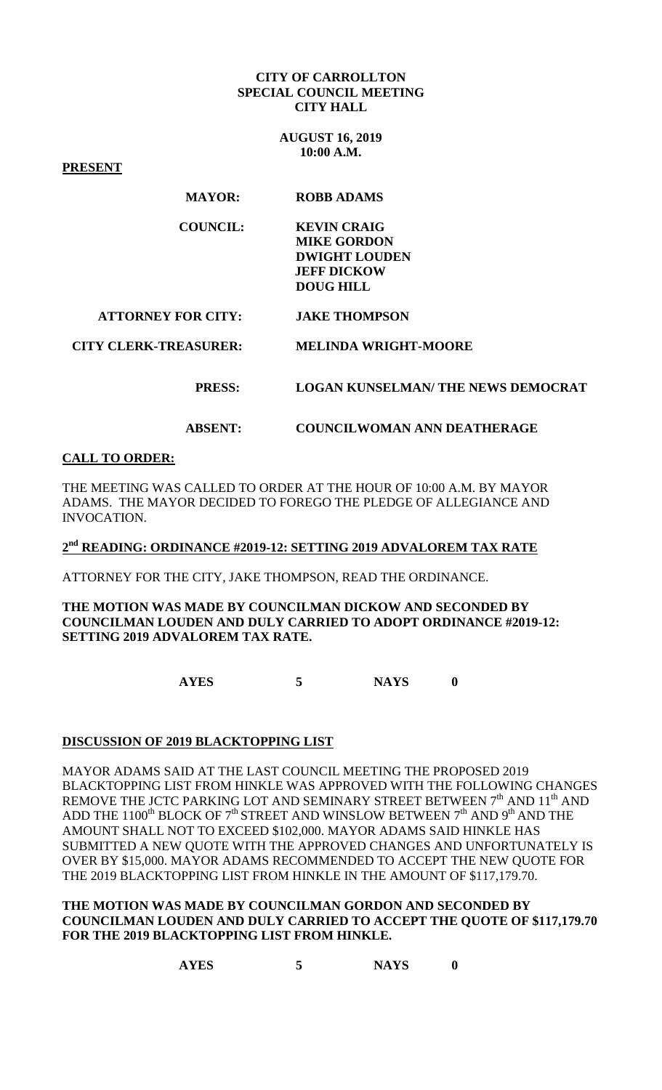#### **CITY OF CARROLLTON SPECIAL COUNCIL MEETING CITY HALL**

**AUGUST 16, 2019 10:00 A.M.**

**PRESENT**

## **MAYOR: ROBB ADAMS**

| COUNCIL: | <b>KEVIN CRAIG</b>   |
|----------|----------------------|
|          | <b>MIKE GORDON</b>   |
|          | <b>DWIGHT LOUDEN</b> |
|          | <b>JEFF DICKOW</b>   |
|          | DOUG HILL            |

#### **ATTORNEY FOR CITY: JAKE THOMPSON**

 **CITY CLERK-TREASURER: MELINDA WRIGHT-MOORE** 

#### **PRESS: LOGAN KUNSELMAN/ THE NEWS DEMOCRAT**

## **ABSENT: COUNCILWOMAN ANN DEATHERAGE**

# **CALL TO ORDER:**

THE MEETING WAS CALLED TO ORDER AT THE HOUR OF 10:00 A.M. BY MAYOR ADAMS. THE MAYOR DECIDED TO FOREGO THE PLEDGE OF ALLEGIANCE AND INVOCATION.

**2nd READING: ORDINANCE #2019-12: SETTING 2019 ADVALOREM TAX RATE**

ATTORNEY FOR THE CITY, JAKE THOMPSON, READ THE ORDINANCE.

**THE MOTION WAS MADE BY COUNCILMAN DICKOW AND SECONDED BY COUNCILMAN LOUDEN AND DULY CARRIED TO ADOPT ORDINANCE #2019-12: SETTING 2019 ADVALOREM TAX RATE.**

**AYES 5 NAYS 0**

## **DISCUSSION OF 2019 BLACKTOPPING LIST**

MAYOR ADAMS SAID AT THE LAST COUNCIL MEETING THE PROPOSED 2019 BLACKTOPPING LIST FROM HINKLE WAS APPROVED WITH THE FOLLOWING CHANGES REMOVE THE JCTC PARKING LOT AND SEMINARY STREET BETWEEN  $7<sup>th</sup>$  AND  $11<sup>th</sup>$  AND ADD THE 1100<sup>th</sup> BLOCK OF 7<sup>th</sup> STREET AND WINSLOW BETWEEN 7<sup>th</sup> AND 9<sup>th</sup> AND THE AMOUNT SHALL NOT TO EXCEED \$102,000. MAYOR ADAMS SAID HINKLE HAS SUBMITTED A NEW QUOTE WITH THE APPROVED CHANGES AND UNFORTUNATELY IS OVER BY \$15,000. MAYOR ADAMS RECOMMENDED TO ACCEPT THE NEW QUOTE FOR THE 2019 BLACKTOPPING LIST FROM HINKLE IN THE AMOUNT OF \$117,179.70.

**THE MOTION WAS MADE BY COUNCILMAN GORDON AND SECONDED BY COUNCILMAN LOUDEN AND DULY CARRIED TO ACCEPT THE QUOTE OF \$117,179.70 FOR THE 2019 BLACKTOPPING LIST FROM HINKLE.**

**AYES 5 NAYS 0**